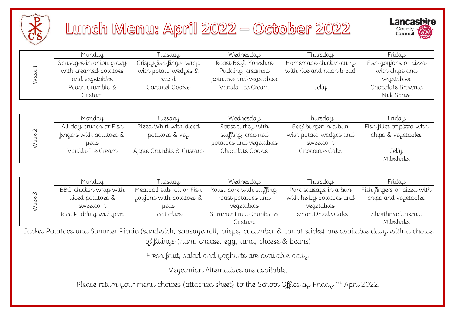

## Lunch Menu: April 2022 — October 2022



| Monday                  | Tuesday                 | Wednesday               | Thursday                 | Friday                |
|-------------------------|-------------------------|-------------------------|--------------------------|-----------------------|
| Sausages in onion gravy | Crispy fish finger wrap | Roast Beef, Yorkshire   | Homemade chicken curry   | Fish goujons or pizza |
| with creamed potatoes   | with potato wedges &    | Pudding, creamed        | with rice and naan bread | with chips and        |
| and vegetables          | salad                   | potatoes and vegetables |                          | vegetables            |
| Peach Crumble &         | Caramel Cookie          | Vanilla Ice Cream       | Jelly                    | Chocolate Brownie     |
| Custard                 |                         |                         |                          | Milk Shake            |

| Week              | with creamed potatoes<br>and vegetables | with potato wedges &<br>salad                                                                                                  | Pudding, creamed<br>potatoes and vegetables          | with rice and naan bread | with chips and<br>vegetables |
|-------------------|-----------------------------------------|--------------------------------------------------------------------------------------------------------------------------------|------------------------------------------------------|--------------------------|------------------------------|
|                   | Peach Crumble &                         | Caramel Cookie                                                                                                                 | Vanilla Ice Cream                                    | Jelly                    | Chocolate Brownie            |
|                   | Custard                                 |                                                                                                                                |                                                      |                          | Milk Shake                   |
|                   |                                         |                                                                                                                                |                                                      |                          |                              |
|                   | Monday                                  | Tuesday                                                                                                                        | Wednesday                                            | Thursday                 | Friday                       |
|                   | All day brunch or Fish                  | Pizza Whirl with diced                                                                                                         | Roast turkey with                                    | Beef burger in a bun     | Fish fillet or pizza with    |
|                   | fingers with potatoes &                 | potatoes & veg                                                                                                                 | stuffing, creamed                                    | with potato wedges and   | chips & vegetables           |
| Week 2            | peas                                    |                                                                                                                                | potatoes and vegetables                              | sweetcorn                |                              |
|                   | Vanilla Ice Cream                       | Apple Crumble & Custard                                                                                                        | Chocolate Cookie                                     | Chocolate Cake           | Jelly                        |
|                   |                                         |                                                                                                                                |                                                      |                          | Milkshake                    |
|                   |                                         |                                                                                                                                |                                                      |                          |                              |
|                   |                                         |                                                                                                                                |                                                      |                          |                              |
|                   | Monday                                  | Tuesday                                                                                                                        | Wednesday                                            | Thursday                 | Friday                       |
|                   | BBQ chicken wrap with                   | Meatball sub roll or Fish                                                                                                      | Roast pork with stuffing,                            | Pork sausage in a bun    | Fish fingers or pizza with   |
|                   | diced potatoes &                        | goujons with potatoes &                                                                                                        | roast potatoes and                                   | with herby potatoes and  | chips and vegetables         |
|                   | sweetcorn                               | peas                                                                                                                           | vegetables                                           | vegetables               |                              |
| Week <sub>3</sub> | Rice Pudding with jam                   | Ice Lollies                                                                                                                    | Summer Fruit Crumble &                               | Lemon Drizzle Cake       | Shortbread Biscuit           |
|                   |                                         |                                                                                                                                | Custard                                              |                          | Milkshake                    |
|                   |                                         | Jacket Potatoes and Summer Picnic (sandwich, sausage roll, crisps, cucumber & carrot sticks) are available daily with a choice |                                                      |                          |                              |
|                   |                                         |                                                                                                                                | of fillings (ham, cheese, egg, tuna, cheese & beans) |                          |                              |
|                   |                                         |                                                                                                                                | Fresh fruit, salad and yoghurts are available daily. |                          |                              |
|                   |                                         |                                                                                                                                | Vegetarian Alternatives are available.               |                          |                              |

| $\infty$ | Monday                | Tuesdau                   | Wednesday                 | Thursday                | Friday                     |  |
|----------|-----------------------|---------------------------|---------------------------|-------------------------|----------------------------|--|
|          | BBQ chicken wrap with | Meatball sub roll or Fish | Roast pork with stuffing, | Pork sausage in a bun   | Fish fingers or pizza with |  |
|          | diced potatoes &      | goujons with potatoes &   | roast potatoes and        | with herby potatoes and | chips and vegetables       |  |
|          | sweetcorn             | peas                      | vegetables                | vegetables              |                            |  |
|          | Rice Pudding with jam | Ice Lollies               | Summer Fruit Crumble &    | Lemon Drizzle Cake      | Shortbread Biscuit         |  |
|          |                       |                           | Custard                   |                         | Milkshake                  |  |

Please return your menu choices (attached sheet) to the School Office by Friday 1st April 2022.